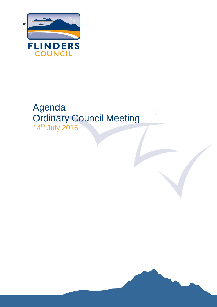

# Agenda Ordinary Council Meeting 14th July 2016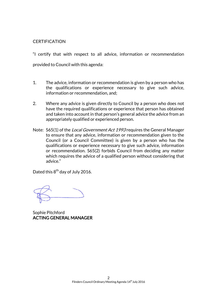#### **CERTIFICATION**

"I certify that with respect to all advice, information or recommendation provided to Council with this agenda:

- 1. The advice, information or recommendation is given by a person who has the qualifications or experience necessary to give such advice, information or recommendation, and;
- 2. Where any advice is given directly to Council by a person who does not have the required qualifications or experience that person has obtained and taken into account in that person's general advice the advice from an appropriately qualified or experienced person.
- Note: S65(1) of the *Local Government Act 1993* requires the General Manager to ensure that any advice, information or recommendation given to the Council (or a Council Committee) is given by a person who has the qualifications or experience necessary to give such advice, information or recommendation. S65(2) forbids Council from deciding any matter which requires the advice of a qualified person without considering that advice."

Dated this 8<sup>th</sup> day of July 2016.

Sophie Pitchford ACTING GENERAL MANAGER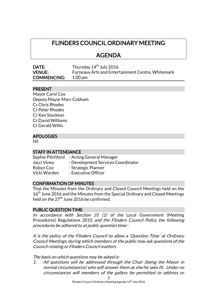# FLINDERS COUNCIL ORDINARY MEETING

# AGENDA

| DATE:              | Thursday 14 <sup>th</sup> July 2016               |
|--------------------|---------------------------------------------------|
| <b>VENUE:</b>      | Furneaux Arts and Entertainment Centre, Whitemark |
| <b>COMMENCING:</b> | 1.00 pm                                           |

#### PRESENT

| Mayor Carol Cox          |
|--------------------------|
| Deputy Mayor Marc Cobham |
| <b>Cr Chris Rhodes</b>   |
| Cr Peter Rhodes          |
| Cr Ken Stockton          |
| Cr David Williams        |
| Cr Gerald Willis         |
|                          |

# APOLOGIES

Nil

#### STAFF IN ATTENDANCE

Sophie Pitchford - Acting General Manager Jacci Viney - Development Services Coordinator Robyn Cox - Strategic Planner Vicki Warden - Executive Officer

#### CONFIRMATION OF MINUTES

That the Minutes from the Ordinary and Closed Council Meetings held on the 16<sup>th</sup> June 2016 and the Minutes from the Special Ordinary and Closed Meetings held on the  $27<sup>th</sup>$  June 2016 be confirmed.

#### PUBLIC QUESTION TIME

In accordance with Section 31  $(1)$  of the Local Government (Meeting Procedures) Regulations 2015 and the Flinders Council Policy the following procedures be adhered to at public question time:-

It is the policy of the Flinders Council to allow a 'Question Time' at Ordinary Council Meetings, during which members of the public may ask questions of the Council relating to Flinders Council matters.

The basis on which questions may be asked is:

1. All questions will be addressed through the Chair (being the Mayor in normal circumstances) who will answer them as she/he sees fit. Under no circumstances will members of the gallery be permitted to address or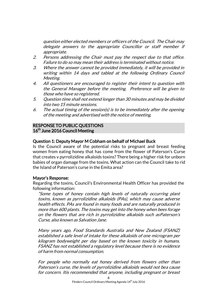question either elected members or officers of the Council. The Chair may delegate answers to the appropriate Councillor or staff member if appropriate.

- 2. Persons addressing the Chair must pay the respect due to that office. Failure to do so may mean their address is terminated without notice.
- 3. Where the answer cannot be provided immediately, it will be provided in writing within 14 days and tabled at the following Ordinary Council Meeting.
- 4. All questioners are encouraged to register their intent to question with the General Manager before the meeting. Preference will be given to those who have so registered.
- 5. Question time shall not extend longer than 30 minutes and may be divided into two 15 minute sessions.
- 6. The actual timing of the session(s) is to be immediately after the opening of the meeting and advertised with the notice of meeting.

### RESPONSE TO PUBLIC QUESTIONS 16<sup>th</sup> June 2016 Council Meeting

# Question 1: Deputy Mayor M Cobham on behalf of Michael Buck

Is the Council aware of the potential risks to pregnant and breast feeding women from eating honey that has come from the flower of Paterson's Curse that creates v pyrrolizidine alkaloids toxins? There being a higher risk for unborn babies of organ damage from the toxins. What action can the Council take to rid the Island of Paterson's curse in the Emita area?

#### Mayor's Response:

Regarding the toxins, Council's Environmental Health Officer has provided the following information:

"Some types of honey contain high levels of naturally occurring plant toxins, known as pyrrolizidine alkaloids (PAs), which may cause adverse health effects. PAs are found in many foods and are naturally produced in more than 600 plants. The toxins may get into the honey when bees forage on the flowers that are rich in pyrrolizidine alkaloids such asPaterson's Curse, also known as Salvation Jane.

Many years ago, Food Standards Australia and New Zealand (FSANZ) established a safe level of intake for these alkaloids of one microgram per kilogram bodyweight per day based on the known toxicity in humans. FSANZ has not established a regulatory level because there is no evidence of harm from normal consumption.

For people who normally eat honey derived from flowers other than Paterson's curse, the levels of pyrrolizidine alkaloids would not bea cause for concern. Itis recommended that anyone, including pregnant or breast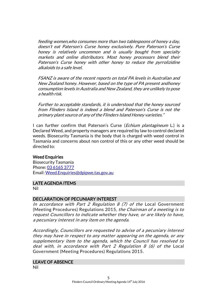feeding women,who consumes more than two tablespoons of honey a day, doesn't eat Paterson's Curse honey exclusively. Pure Paterson's Curse honey is relatively uncommon and is usually bought from specialty markets and online distributors. Most honey processors blend their Paterson's Curse honey with other honey to reduce the pyrrolizidine alkaloids to a safe level.

FSANZ is aware of the recent reports on total PA levels in Australian and New Zealand honey. However, based on the type of PA present andhoney consumption levels in Australia and New Zealand, they are unlikely to pose a health risk.

Further to acceptable standards, it is understood that the honey sourced from Flinders Island is indeed a blend and Paterson's Curse is not the primary plant source of any of the Flinders Island Honey varieties."

I can further confirm that Paterson's Curse (*Echium plantagineum* L.) is a Declared Weed, and property managers are required by law to control declared weeds. Biosecurity Tasmania is the body that is charged with weed control in Tasmania and concerns about non control of this or any other weed should be directed to:

#### Weed Enquiries

Biosecurity Tasmania Phone: [03 6165 3777](tel:03%206165%203777) Email[: Weed.Enquiries@dpipwe.tas.gov.au](mailto:Weed.Enquiries@dpipwe.tas.gov.au)

#### LATE AGENDA ITEMS

Nil

#### DECLARATION OF PECUNIARY INTEREST

In accordance with Part 2 Regulation  $8$  (7) of the Local Government (Meeting Procedures) Regulations 2015, the Chairman of a meeting is to request Councillors to indicate whether they have, or are likely to have, a pecuniary interest in any item on the agenda.

Accordingly, Councillors are requested to advise of a pecuniary interest they may have in respect to any matter appearing on the agenda, or any supplementary item to the agenda, which the Council has resolved to deal with, in accordance with Part 2 Regulation 8 (6) of the Local Government (Meeting Procedures) Regulations 2015.

#### LEAVE OF ABSENCE

Nil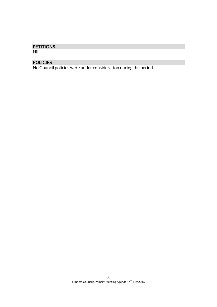# **PETITIONS**

Nil

# POLICIES

No Council policies were under consideration during the period.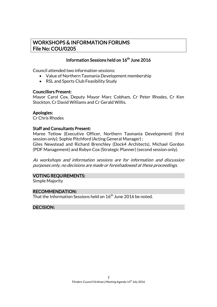# WORKSHOPS & INFORMATION FORUMS File No: COU/0205

# Information Sessions held on  $16^{\text{th}}$  June 2016

Council attended two information sessions:

- Value of Northern Tasmania Development membership
- RSL and Sports Club Feasibility Study

#### Councillors Present:

Mayor Carol Cox, Deputy Mayor Marc Cobham, Cr Peter Rhodes, Cr Ken Stockton, Cr David Williams and Cr Gerald Willis.

#### Apologies:

Cr Chris Rhodes

#### Staff and Consultants Present:

Maree Tetlow (Executive Officer, Northern Tasmania Development) (first session only); Sophie Pitchford (Acting General Manager) ; Giles Newstead and Richard Brenchley (Dock4 Architects), Michael Gordon (PDF Management) and Robyn Cox (Strategic Planner) (second session only).

As workshops and information sessions are for information and discussion purposes only, no decisions are made or foreshadowed at these proceedings.

# VOTING REQUIREMENTS:

Simple Majority

# RECOMMENDATION:

That the Information Sessions held on  $16^{\rm th}$  June 2016 be noted.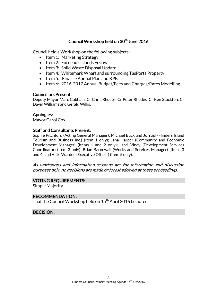# Council Workshop held on 30<sup>th</sup> June 2016

Council held a Workshop on the following subjects:

- Item 1: Marketing Strategy
- $\bullet$  Item 2: Furneaux Islands Festival
- Item 3: Solid Waste Disposal Update
- Item 4: Whitemark Wharf and surrounding TasPorts Property
- Item 5: Finalise Annual Plan and KPIs
- Item 6: 2016-2017 Annual Budget/Fees and Charges/Rates Modelling

# Councillors Present:

Deputy Mayor Marc Cobham, Cr Chris Rhodes, Cr Peter Rhodes, Cr Ken Stockton, Cr David Williams and Gerald Willis.

# Apologies:

Mayor Carol Cox

# Staff and Consultants Present:

Sophie Pitchford (Acting General Manager); Michael Buck and Jo Youl (Flinders Island Tourism and Business Inc.) (Item 1 only); Jana Harper (Community and Economic Development Manager) (Items 1 and 2 only); Jacci Viney (Development Services Coordinator) (Item 3 only); Brian Barnewall (Works and Services Manager) (Items 3 and 4) and Vicki Warden (Executive Officer) (Item 5 only).

As workshops and information sessions are for information and discussion purposes only, no decisions are made or foreshadowed at these proceedings.

# VOTING REQUIREMENTS:

Simple Majority

# RECOMMENDATION:

That the Council Workshop held on  $15<sup>th</sup>$  April 2016 be noted.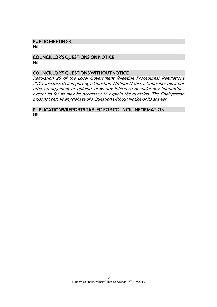#### PUBLIC MEETINGS

Nil

#### COUNCILLOR'S QUESTIONS ON NOTICE Nil

#### COUNCILLOR'S QUESTIONS WITHOUT NOTICE

Regulation 29 of the Local Government (Meeting Procedures) Regulations 2015 specifies that in putting a Question Without Notice a Councillor must not offer an argument or opinion, draw any inference or make any imputations except so far as may be necessary to explain the question. The Chairperson must not permit any debate of a Question without Notice or its answer.

#### PUBLICATIONS/REPORTS TABLED FOR COUNCIL INFORMATION Nil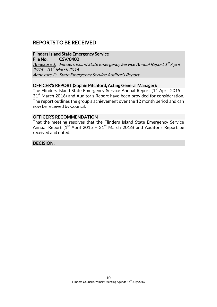# REPORTS TO BE RECEIVED

#### Flinders Island State Emergency Service File No: CSV/0400

<u>Annexure 1:</u> Flinders Island State Emergency Service Annual Report 1<sup>st</sup> April 2015 - 31<sup>st</sup> March 2016 Annexure 2: State Emergency Service Auditor's Report

# OFFICER'S REPORT (Sophie Pitchford, Acting General Manager):

The Flinders Island State Emergency Service Annual Report  $(1<sup>st</sup>$  April 2015 –  $31<sup>st</sup>$  March 2016) and Auditor's Report have been provided for consideration. The report outlines the group's achievement over the 12 month period and can now be received by Council.

#### OFFICER'S RECOMMENDATION

That the meeting resolves that the Flinders Island State Emergency Service Annual Report  $(I<sup>st</sup>$  April 2015 - 31<sup>st</sup> March 2016) and Auditor's Report be received and noted.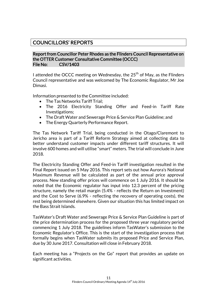# COUNCILLORS' REPORTS

### Report from Councillor Peter Rhodes as the Flinders Council Representative on the OTTER Customer Consultative Committee (OCCC) File No: CSV/1403

I attended the OCCC meeting on Wednesday, the  $25<sup>th</sup>$  of May, as the Flinders Council representative and was welcomed by The Economic Regulator, Mr Joe Dimasi.

Information presented to the Committee included:

- The Tas Networks Tariff Trial:
- The 2016 Electricity Standing Offer and Feed-in Tariff Rate Investigations;
- The Draft Water and Sewerage Price & Service Plan Guideline; and
- The Energy Quarterly Performance Report.

The Tas Network Tariff Trial, being conducted in the Otago/Claremont to Jericho area is part of a Tariff Reform Strategy aimed at collecting data to better understand customer impacts under different tariff structures. It will involve 600 homes and will utilise "smart" meters. The trial will conclude in June 2018.

The Electricity Standing Offer and Feed-in Tariff investigation resulted in the Final Report issued on 5 May 2016. This report sets out how Aurora's Notional Maximum Revenue will be calculated as part of the annual price approval process. New standing offer prices will commence on 1 July 2016. It should be noted that the Economic regulator has input into 12.3 percent of the pricing structure, namely the retail margin (5.4% - reflects the Return on Investment) and the Cost to Serve (6.9% - reflecting the recovery of operating costs), the rest being determined elsewhere. Given our situation this has limited impact on the Bass Strait Islands.

TasWater's Draft Water and Sewerage Price & Service Plan Guideline is part of the price determination process for the proposed three year regulatory period commencing 1 July 2018. The guidelines inform TasWater's submission to the Economic Regulator's Office. This is the start of the investigation process that formally begins when TasWater submits its proposed Price and Service Plan, due by 30 June 2017. Consultation will close in February 2018.

Each meeting has a "Projects on the Go" report that provides an update on significant activities.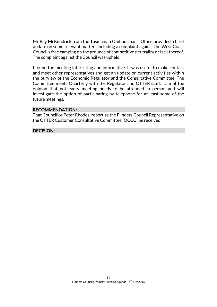Mr Ray McKendrick from the Tasmanian Ombudsman's Office provided a brief update on some relevant matters including a complaint against the West Coast Council's free camping on the grounds of competitive neutrality or lack thereof. The complaint against the Council was upheld.

I found the meeting interesting and informative. It was useful to make contact and meet other representatives and get an update on current activities within the purview of the Economic Regulator and the Consultative Committee. The Committee meets Quarterly with the Regulator and OTTER staff. I am of the opinion that not every meeting needs to be attended in person and will investigate the option of participating by telephone for at least some of the future meetings.

#### RECOMMENDATION:

That Councillor Peter Rhodes' report as the Flinders Council Representative on the OTTER Customer Consultative Committee (OCCC) be received.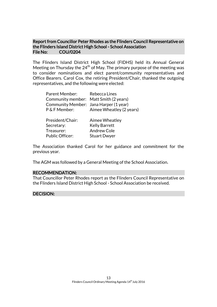# Report from Councillor Peter Rhodes as the Flinders Council Representative on the Flinders Island District High School - School Association File No: COU/0204

The Flinders Island District High School (FIDHS) held its Annual General Meeting on Thursday the  $24<sup>th</sup>$  of May. The primary purpose of the meeting was to consider nominations and elect parent/community representatives and Office Bearers. Carol Cox, the retiring President/Chair, thanked the outgoing representatives, and the following were elected:

| Parent Member:                         | Rebecca Lines            |
|----------------------------------------|--------------------------|
| Community member: Matt Smith (2 years) |                          |
| Community Member: Jana Harper (1 year) |                          |
| P & F Member:                          | Aimee Wheatley (2 years) |
| President/Chair:                       | Aimee Wheatley           |
| Secretary:                             | <b>Kelly Barrett</b>     |
| Treasurer:                             | <b>Andrew Cole</b>       |
| <b>Public Officer:</b>                 | <b>Stuart Dwyer</b>      |

The Association thanked Carol for her guidance and commitment for the previous year.

The AGM was followed by a General Meeting of the School Association.

#### RECOMMENDATION:

That Councillor Peter Rhodes report as the Flinders Council Representative on the Flinders Island District High School - School Association be received.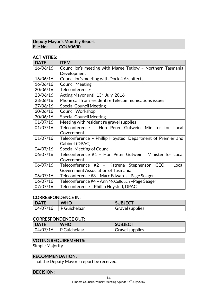#### Deputy Mayor's Monthly Report<br>File No: COU/0600 COU/0600

# ACTIVITIES:

| <b>DATE</b> | <b>ITEM</b>                                                 |  |
|-------------|-------------------------------------------------------------|--|
| 16/06/16    | Councillor's meeting with Maree Tetlow - Northern Tasmania  |  |
|             | Development                                                 |  |
| 16/06/16    | Councillor's meeting with Dock 4 Architects                 |  |
| 16/06/16    | <b>Council Meeting</b>                                      |  |
| 20/06/16    | Teleconference-                                             |  |
| 23/06/16    | Acting Mayor until 13 <sup>th</sup> July 2016               |  |
| 23/06/16    | Phone call from resident re Telecommunications issues       |  |
| 27/06/16    | <b>Special Council Meeting</b>                              |  |
| 30/06/16    | <b>Council Workshop</b>                                     |  |
| 30/06/16    | <b>Special Council Meeting</b>                              |  |
| 01/07/16    | Meeting with resident re gravel supplies                    |  |
| 01/07/16    | Teleconference - Hon Peter Gutwein, Minister for Local      |  |
|             | Government                                                  |  |
| 01/07/16    | Teleconference - Phillip Hoysted, Department of Premier and |  |
|             | Cabinet (DPAC)                                              |  |
| 04/07/16    | <b>Special Meeting of Council</b>                           |  |
| 06/07/16    | Teleconference #1 - Hon Peter Gutwein, Minister for Local   |  |
|             | Government                                                  |  |
| 06/07/16    | Teleconference #2 - Katrena Stephenson CEO,<br>Local        |  |
|             | Government Association of Tasmania                          |  |
| 06/07/16    | Teleconference #3 - Marc Edwards - Page Seager              |  |
| 06/07/16    | Teleconference #4 - Ann McCullouch - Page Seager            |  |
| 07/07/16    | Teleconference - Phillip Hoysted, DPAC                      |  |

#### CORRESPONDENCE IN:

| <b>DATE</b> | <b>WHO</b>          | <b>SUBJECT</b>         |
|-------------|---------------------|------------------------|
| 04/07/16    | $\mid$ P Guichelaar | <b>Gravel supplies</b> |

# CORRESPONDENCE OUT:

| DATE     | <b>WHO</b>   | <b>SUBJECT</b>         |
|----------|--------------|------------------------|
| 04/07/16 | P Guichelaar | <b>Gravel supplies</b> |

# VOTING REQUIREMENTS:

Simple Majority

### RECOMMENDATION:

That the Deputy Mayor's report be received.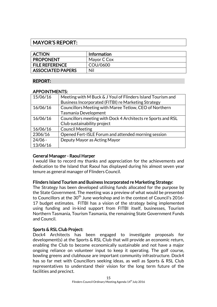# MAYOR'S REPORT:

| <b>ACTION</b>            | <b>Information</b> |
|--------------------------|--------------------|
| <b>PROPONENT</b>         | Mayor C Cox        |
| <b>FILE REFERENCE</b>    | COU/0600           |
| <b>ASSOCIATED PAPERS</b> | Nil                |

# REPORT:

#### APPOINTMENTS:

| 15/06/16  | Meeting with M Buck & J Youl of Flinders Island Tourism and  |
|-----------|--------------------------------------------------------------|
|           | Business Incorporated (FITBI) re Marketing Strategy          |
| 16/06/16  | Councillors Meeting with Maree Tetlow, CEO of Northern       |
|           | Tasmania Development                                         |
| 16/06/16  | Councillors meeting with Dock 4 Architects re Sports and RSL |
|           | Club sustainability project                                  |
| 16/06/16  | <b>Council Meeting</b>                                       |
| 2306/16   | Opened Fert-ISLE Forum and attended morning session          |
| $24/06 -$ | Deputy Mayor as Acting Mayor                                 |
| 13/06/16  |                                                              |

# General Manager - Raoul Harper

I would like to record my thanks and appreciation for the achievements and dedication to the Island that Raoul has displayed during his almost seven year tenure as general manager of Flinders Council.

# Flinders Island Tourism and Business Incorporated re Marketing Strategy:

The Strategy has been developed utilising funds allocated for the purpose by the State Government. The meeting was a preview of what would be presented to Councillors at the  $30<sup>th</sup>$  June workshop and in the context of Council's 2016-17 budget estimates. FITBI has a vision of the strategy being implemented using funding and in-kind support from FITBI itself, businesses, Tourism Northern Tasmania, Tourism Tasmania, the remaining State Government Funds and Council.

# Sports & RSL Club Project:

Dock4 Architects has been engaged to investigate proposals for development(s) at the Sports & RSL Club that will provide an economic return, enabling the Club to become economically sustainable and not have a major ongoing reliance on volunteer input to keep it operating. The golf course, bowling greens and clubhouse are important community infrastructure. Dock4 has so far met with Councillors seeking ideas, as well as Sports & RSL Club representatives to understand their vision for the long term future of the facilities and precinct.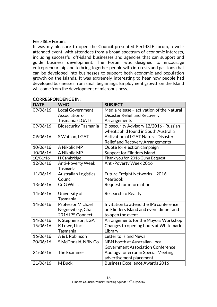# Fert-ISLE Forum:

It was my pleasure to open the Council presented Fert-ISLE forum, a wellattended event, with attendees from a broad spectrum of economic interests, including successful off-island businesses and agencies that can support and guide business development. The Forum was designed to encourage entrepreneurship and to bring together people with interests and passions that can be developed into businesses to support both economic and population growth on the Islands. It was extremely interesting to hear how people had developed businesses from small beginnings. Employment growth on the Island will come from the development of microbusiness.

| <b>DATE</b> | <b>WHO</b>                  | <b>SUBJECT</b>                             |
|-------------|-----------------------------|--------------------------------------------|
| 09/06/16    | <b>Local Government</b>     | Media release - activation of the Natural  |
|             | Association of              | <b>Disaster Relief and Recovery</b>        |
|             | Tasmania (LGAT)             | Arrangements                               |
| 09/06/16    | <b>Biosecurity Tasmania</b> | Biosecurity Advisory 12/2016 - Russian     |
|             |                             | wheat aphid found in South Australia       |
| 09/06/16    | S Watson, LGAT              | <b>Activation of LGAT Natural Disaster</b> |
|             |                             | Relief and Recovery Arrangements           |
| 10/06/16    | A Nikolic MP                | Quote for election campaign                |
| 10/06/16    | A Nikolic MP                | Support for Flinders Island                |
| 10/06/16    | H Cambridge                 | Thank you for 2016 Gunn Bequest            |
| 12/06/16    | <b>Anti-Poverty Week</b>    | Anti-Poverty Week 2016                     |
|             | Tasmania                    |                                            |
| 11/06/16    | Australian Logistics        | Future Freight Networks - 2016             |
|             | Council                     | Yearbook                                   |
| 13/06/16    | Cr G Willis                 | Request for information                    |
| 14/06/16    | University of               | <b>Research to Reality</b>                 |
|             | Tasmania                    |                                            |
| 14/06/16    | Professor Michael           | Invitation to attend the IPS conference    |
|             | Negnevitsky, Chair          | on Flinders Island and event dinner and    |
|             | 2016 IPS Connect            | to open the event                          |
| 14/06/16    | K Stephenson, LGAT          | Arrangements for the Mayors Workshop       |
| 15/06/16    | K Lowe, Linc                | Changes to opening hours at Whitemark      |
|             | Tasmania                    | Library                                    |
| 16/06/16    | A & L Robinson              | Letter to Island News                      |
| 20/06/16    | S McDonald, NBN Co          | NBN booth at Australian Local              |
|             |                             | <b>Government Association Conference</b>   |
| 21/06/16    | The Examiner                | Apology for error in Special Meeting       |
|             |                             | advertisement placement                    |
| 21/06/16    | M Buck                      | <b>Business Excellence Awards 2016</b>     |

# CORRESPONDENCE IN: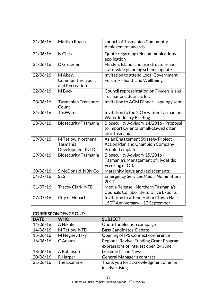| 21/06/16 | Marilyn Roach                                       | Launch of Tasmanian Community<br>Achievement awards                                                |
|----------|-----------------------------------------------------|----------------------------------------------------------------------------------------------------|
| 21/06/16 | N Clark                                             | Quote regarding telecommunications<br>application                                                  |
| 21/06/16 | D Grutzner                                          | Flinders Island land use structure and<br>state-wide planning scheme update                        |
| 22/06/16 | M Abey,<br>Communities, Sport<br>and Recreation     | <b>Invitation to attend Local Government</b><br>Forum - Health and Wellbeing                       |
| 22/06/16 | M Buck                                              | Council representation on Flinders Island<br>Tourism and Business Inc.                             |
| 23/06/16 | <b>Tasmanian Transport</b><br>Council               | Invitation to AGM Dinner - apology sent                                                            |
| 24/06/16 | <b>TasWater</b>                                     | Invitation to the 2016 winter Tasmanian<br><b>Water Industry Briefing</b>                          |
| 28/06/16 | <b>Biosecurity Tasmania</b>                         | Biosecurity Advisory 14/2016 - Proposal<br>to import Oriental small-clawed otter<br>into Tasmania  |
| 29/06/16 | M Tetlow, Northern<br>Tasmania<br>Development (NTD) | Asian Engagement Strategy Project -<br><b>Action Plan and Champion Company</b><br>Profile Template |
| 29/06/16 | <b>Biosecurity Tasmania</b>                         | Biosecurity Advisory 15/2016 -<br>Tasmania's Management of Hydatids:<br>Freezing of Offal          |
| 30/06/16 | S McDonald, NBN Co                                  | Maternity leave and replacements                                                                   |
| 04/07/16 | <b>SES</b>                                          | <b>Emergency Services Medal Nominations</b><br>2017                                                |
| 01/07/16 | Tracey Clark, NTD                                   | Media Release - Northern Tasmania's<br><b>Councils Collaborate to Drive Exports</b>                |
| 07/07/16 | City of Hobart                                      | Invitation to attend Hobart Town Hall's<br>150 <sup>th</sup> Anniversary - 10 September            |

# CORRESPONDENCE OUT:

| <b>DATE</b> | <b>WHO</b>    | <b>SUBJECT</b>                         |
|-------------|---------------|----------------------------------------|
| 14/06/16    | A Nikolic     | Quote for election campaign            |
| 14/06/16    | M Tetlow, NTD | <b>Bass Candidates' Debate</b>         |
| 15/06/16    | M Negnevitsky | Opening of IPS Connect conference      |
| 16/06/16    | G Adams       | Regional Revival Funding Grant Program |
|             |               | expressions of interest open 24 June   |
| 18/06/16    | A Robinson    | Letter in Island News                  |
| 20/06/16    | R Harper      | General Manager's contract             |
| 21/06/16    | The Examiner  | Thank you for acknowledgment of error  |
|             |               | in advertising                         |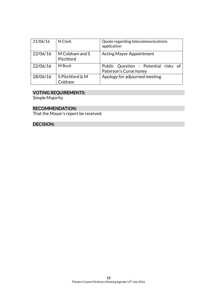| 21/06/16 | N Clark                     | Quote regarding telecommunications<br>application              |
|----------|-----------------------------|----------------------------------------------------------------|
| 22/06/16 | M Cobham and S<br>Pitchford | <b>Acting Mayor Appointment</b>                                |
| 22/06/16 | M Buck                      | Public Question - Potential risks of<br>Paterson's Curse honey |
| 28/06/16 | S Pitchford & M<br>Cobham   | Apology for adjourned meeting                                  |

#### VOTING REQUIREMENTS:

Simple Majority

# RECOMMENDATION:

That the Mayor's report be received.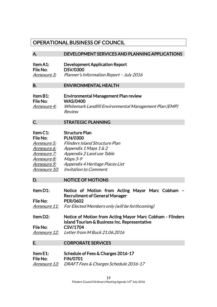# OPERATIONAL BUSINESS OF COUNCIL

#### A. DEVELOPMENT SERVICES AND PLANNING APPLICATIONS

| Item A1:           | <b>Development Application Report</b>    |
|--------------------|------------------------------------------|
| <b>File No:</b>    | <b>DSV/0300</b>                          |
| <i>Annexure 3:</i> | Planner's Information Report - July 2016 |

#### B. ENVIRONMENTAL HEALTH

| Item B1:           | <b>Environmental Management Plan review</b>            |
|--------------------|--------------------------------------------------------|
| File No:           | <b>WAS/0400</b>                                        |
| <i>Annexure 4:</i> | Whitemark Landfill Environmental Management Plan (EMP) |
|                    | Review                                                 |

#### C. STRATEGIC PLANNING

| Item C1:            | <b>Structure Plan</b>                 |
|---------------------|---------------------------------------|
| File No:            | <b>PLN/0300</b>                       |
| Annexure 5:         | <b>Flinders Island Structure Plan</b> |
| Annexure 6:         | Appendix 1 Maps 1 & 2                 |
| Annexure 7:         | Appendix 2 Land use Table             |
| Annexure 8:         | $Maps 3-9$                            |
| Annexure 9:         | Appendix 4 Heritage Places List       |
| <i>Annexure 10:</i> | Invitation to Comment                 |

#### D. NOTICE OF MOTIONS

| Item D1:                                                        | Notice of Motion from Acting Mayor Marc Cobham - |  |  |  |  |
|-----------------------------------------------------------------|--------------------------------------------------|--|--|--|--|
|                                                                 | <b>Recruitment of General Manager</b>            |  |  |  |  |
| File No:                                                        | <b>PER/0602</b>                                  |  |  |  |  |
| Approvement A. Fou Floated Mapphone and chaill be fout homeined |                                                  |  |  |  |  |

Annexure 11: For Elected Members only (will be forthcoming)

Item D2: Notice of Motion from Acting Mayor Marc Cobham - Flinders Island Tourism & Business Inc. Representative File No: CSV/1704 Annexure 12: Letter from M Buck 21.06.2016

#### E. CORPORATE SERVICES

#### Item E1: Schedule of Fees & Charges 2016-17 File No: FIN/0701 Annexure 13: DRAFT Fees & Charges Schedule 2016-17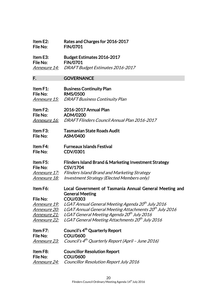#### Item E2: Rates and Charges for 2016-2017 File No: FIN/0701

Item E3: Budget Estimates 2016-2017 File No: FIN/0701 Annexure 14: DRAFT Budget Estimates 2016-2017

# F. GOVERNANCE

| Item $F1$ : | <b>Business Continuity Plan</b>             |
|-------------|---------------------------------------------|
| File No:    | <b>RMS/0500</b>                             |
|             | Annexure 15: DRAFT Business Continuity Plan |

Item F2: 2016-2017 Annual Plan File No: ADM/0200 Annexure 16: DRAFT Flinders Council Annual Plan 2016-2017

- Item F3: Tasmanian State Roads Audit File No: ASM/0400
- Item F4: Furneaux Islands Festival File No: CDV/0301

# Item F5: Flinders Island Brand & Marketing Investment Strategy File No: CSV/1704

Annexure 17: Flinders Island Brand and Marketing Strategy Annexure 18: Investment Strategy (Elected Members only)

Item F6: Local Government of Tasmania Annual General Meeting and General Meeting File No: COU/0303

<u>Annexure 19:</u> LGAT Annual General Meeting Agenda 20<sup>th</sup> July 2016 <u>Annexure 20:</u> LGAT Annual General Meeting Attachments 20<sup>th</sup> July 2016 Annexure 21: LGAT General Meeting Agenda 20<sup>th</sup> July 2016 Annexure 22: LGAT General Meeting Attachments 20<sup>th</sup> July 2016

| Item $F7:$ | Council's 4 <sup>th</sup> Quarterly Report                                  |
|------------|-----------------------------------------------------------------------------|
| File No:   | COU/0600                                                                    |
|            | Annexure 23: Council's 4 <sup>th</sup> Quarterly Report (April - June 2016) |

### Item F8: Councillor Resolution Report File No: COU/0600 Annexure 24: Councillor Resolution Report July 2016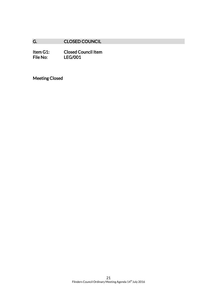# G. CLOSED COUNCIL

Item G1: Closed Council Item<br>File No: LEG/001 LEG/001

Meeting Closed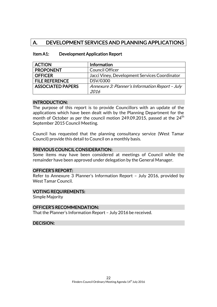# A. DEVELOPMENT SERVICES AND PLANNING APPLICATIONS

| <b>ACTION</b>            | <b>Information</b>                              |
|--------------------------|-------------------------------------------------|
| <b>PROPONENT</b>         | <b>Council Officer</b>                          |
| <b>OFFICER</b>           | Jacci Viney, Development Services Coordinator   |
| <b>FILE REFERENCE</b>    | DSV/0300                                        |
| <b>ASSOCIATED PAPERS</b> | Annexure 3: Planner's Information Report - July |
|                          | 2016                                            |

#### Item A1: Development Application Report

#### INTRODUCTION:

The purpose of this report is to provide Councillors with an update of the applications which have been dealt with by the Planning Department for the month of October as per the council motion 249.09.2015, passed at the  $24<sup>th</sup>$ September 2015 Council Meeting.

Council has requested that the planning consultancy service (West Tamar Council) provide this detail to Council on a monthly basis.

#### PREVIOUS COUNCIL CONSIDERATION:

Some items may have been considered at meetings of Council while the remainder have been approved under delegation by the General Manager.

#### OFFICER'S REPORT:

Refer to Annexure 3 Planner's Information Report – July 2016, provided by West Tamar Council.

#### VOTING REQUIREMENTS:

Simple Majority

#### OFFICER'S RECOMMENDATION:

That the Planner's Information Report – July 2016 be received.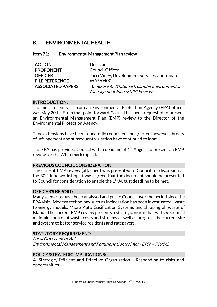# B. ENVIRONMENTAL HEALTH

| <b>ACTION</b>            | <b>Decision</b>                               |
|--------------------------|-----------------------------------------------|
| <b>PROPONENT</b>         | <b>Council Officer</b>                        |
| <b>OFFICER</b>           | Jacci Viney, Development Services Coordinator |
| <b>FILE REFERENCE</b>    | <b>WAS/0400</b>                               |
| <b>ASSOCIATED PAPERS</b> | Annexure 4: Whitemark Landfill Environmental  |
|                          | Management Plan (EMP) Review                  |

#### Item B1: Environmental Management Plan review

#### INTRODUCTION:

The most recent visit from an Environmental Protection Agency (EPA) officer was May 2014. From that point forward Council has been requested to present an Environmental Management Plan (EMP) review to the Director of the Environmental Protection Agency.

Time extensions have been repeatedly requested and granted, however threats of infringement and subsequent visitation have continued to loom.

The EPA has provided Council with a deadline of  $1<sup>st</sup>$  August to present an EMP review for the Whitemark (tip) site.

# PREVIOUS COUNCIL CONSIDERATION:

The current EMP review (attached) was presented to Council for discussion at the 30<sup>th</sup> June workshop. It was agreed that the document should be presented to Council for consideration to enable the  $1<sup>st</sup>$  August deadline to be met.

# OFFICER'S REPORT:

Many scenarios have been analysed and put to Council over the period since the EPA visit. Modern technology such as incineration has been investigated, waste to energy models, Micro Auto Gasification Systems and shipping all waste of Island. The current EMP review presents a strategic vision that will see Council maintain control of waste costs and streams as well as progress the current site and system to better service residents and ratepayers.

# STATUTORY REQUIREMENT:

Local Government Act Environmental Management and Pollutions Control Act - EPN – 7191/2

# POLICY/STRATEGIC IMPLICATIONS:

4. Strategic, Efficient and Effective Organisation - Responding to risks and opportunities.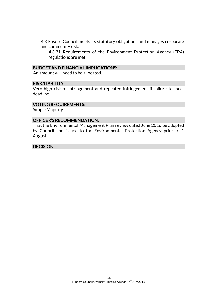4.3 Ensure Council meets its statutory obligations and manages corporate and community risk.

4.3.31 Requirements of the Environment Protection Agency (EPA) regulations are met.

#### BUDGET AND FINANCIAL IMPLICATIONS:

An amount will need to be allocated.

#### RISK/LIABILITY:

Very high risk of infringement and repeated infringement if failure to meet deadline.

# VOTING REQUIREMENTS:

Simple Majority

#### OFFICER'S RECOMMENDATION:

That the Environmental Management Plan review dated June 2016 be adopted by Council and issued to the Environmental Protection Agency prior to 1 August.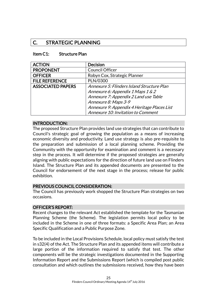# C. STRATEGIC PLANNING

#### Item C1: Structure Plan

| <b>ACTION</b>            | <b>Decision</b>                             |  |
|--------------------------|---------------------------------------------|--|
| <b>PROPONENT</b>         | <b>Council Officer</b>                      |  |
| <b>OFFICER</b>           | Robyn Cox, Strategic Planner                |  |
| <b>FILE REFERENCE</b>    | PLN/0300                                    |  |
| <b>ASSOCIATED PAPERS</b> | Annexure 5: Flinders Island Structure Plan  |  |
|                          | Annexure 6: Appendix 1 Maps 1 & 2           |  |
|                          | Annexure 7: Appendix 2 Land use Table       |  |
|                          | Annexure 8: Maps 3-9                        |  |
|                          | Annexure 9: Appendix 4 Heritage Places List |  |
|                          | Annexure 10: Invitation to Comment          |  |

#### INTRODUCTION:

The proposed Structure Plan provides land use strategies that can contribute to Council's strategic goal of growing the population as a means of increasing economic diversity and productivity. Land use strategy is also pre-requisite to the preparation and submission of a local planning scheme. Providing the Community with the opportunity for examination and comment is a necessary step in the process. It will determine if the proposed strategies are generally aligning with public expectations for the direction of future land use on Flinders Island. The Structure Plan and its appended documents are presented to the Council for endorsement of the next stage in the process; release for public exhibition.

#### PREVIOUS COUNCIL CONSIDERATION:

The Council has previously work shopped the Structure Plan strategies on two occasions.

#### OFFICER'S REPORT:

Recent changes to the relevant Act established the template for the Tasmanian Planning Scheme (the Scheme). The legislation permits local policy to be included in the Scheme in one of three formats: a Specific Area Plan; an Area Specific Qualification and a Public Purpose Zone.

To be included in the Local Provisions Schedule, local policy must satisfy the test in s32(4) of the Act. The Structure Plan and its appended items will contribute a large portion of the information required to satisfy that test. The other components will be the strategic investigations documented in the Supporting Information Report and the Submissions Report (which is compiled post public consultation and which outlines the submissions received, how they have been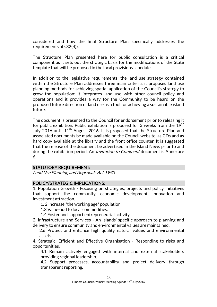considered and how the final Structure Plan specifically addresses the requirements of s32(4)).

The Structure Plan presented here for public consultation is a critical component as it sets out the strategic basis for the modifications of the State template that will be proposed in the local provisions schedule.

In addition to the legislative requirements, the land use strategy contained within the Structure Plan addresses three main criteria: it proposes land use planning methods for achieving spatial application of the Council's strategy to grow the population; it integrates land use with other council policy and operations and it provides a way for the Community to be heard on the proposed future direction of land use as a tool for achieving a sustainable island future.

The document is presented to the Council for endorsement prior to releasing it for public exhibition. Public exhibition is proposed for 3 weeks from the  $19<sup>th</sup>$ July 2016 until  $11<sup>th</sup>$  August 2016. It is proposed that the Structure Plan and associated documents be made available on the Council website, as CDs and as hard copy available at the library and the front office counter. It is suggested that the release of the document be advertised in the Island News prior to and during the exhibition period. An *Invitation to Comment* document is Annexure 6.

# STATUTORY REQUIREMENT:

Land Use Planning and Approvals Act 1993

#### POLICY/STRATEGIC IMPLICATIONS:

1. Population Growth - Focusing on strategies, projects and policy initiatives that support the community, economic development, innovation and investment attraction.

1. 2 Increase "the working age" population.

1.3 Value-add to local commodities.

1.4 Foster and support entrepreneurial activity.

2. Infrastructure and Services - An Islands' specific approach to planning and delivery to ensure community and environmental values are maintained.

2.6 Protect and enhance high quality natural values and environmental assets.

4. Strategic, Efficient and Effective Organisation - Responding to risks and opportunities.

4.1 Remain actively engaged with internal and external stakeholders providing regional leadership.

4.2 Support processes, accountability and project delivery through transparent reporting.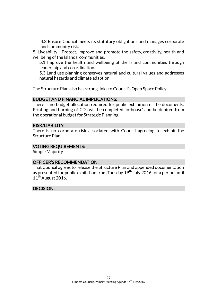4.3 Ensure Council meets its statutory obligations and manages corporate and community risk.

5. Liveability - Protect, improve and promote the safety, creativity, health and wellbeing of the Islands' communities.

5.1 Improve the health and wellbeing of the Island communities through leadership and co-ordination.

5.3 Land use planning conserves natural and cultural values and addresses natural hazards and climate adaption.

The Structure Plan also has strong links to Council's Open Space Policy.

# BUDGET AND FINANCIAL IMPLICATIONS:

There is no budget allocation required for public exhibition of the documents. Printing and burning of CDs will be completed 'in-house' and be debited from the operational budget for Strategic Planning.

#### RISK/LIABILITY:

There is no corporate risk associated with Council agreeing to exhibit the Structure Plan.

# VOTING REQUIREMENTS:

Simple Majority

# OFFICER'S RECOMMENDATION:

That Council agrees to release the Structure Plan and appended documentation as presented for public exhibition from Tuesday  $19<sup>th</sup>$  July 2016 for a period until  $11^{th}$  August 2016.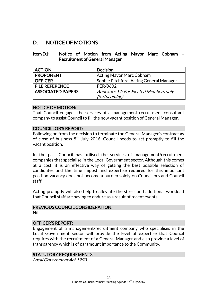# D. NOTICE OF MOTIONS

#### Item D1: Notice of Motion from Acting Mayor Marc Cobham – Recruitment of General Manager

| <b>ACTION</b>            | <b>Decision</b>                          |
|--------------------------|------------------------------------------|
| <b>PROPONENT</b>         | <b>Acting Mayor Marc Cobham</b>          |
| <b>OFFICER</b>           | Sophie Pitchford, Acting General Manager |
| <b>FILE REFERENCE</b>    | PER/0602                                 |
| <b>ASSOCIATED PAPERS</b> | Annexure 11: For Elected Members only    |
|                          | <i>(forthcoming)</i>                     |

#### NOTICE OF MOTION:

That Council engages the services of a management recruitment consultant company to assist Council to fill the now vacant position of General Manager.

#### COUNCILLOR'S REPORT:

Following on from the decision to terminate the General Manager's contract as of close of business 5<sup>th</sup> July 2016, Council needs to act promptly to fill the vacant position.

In the past Council has utilised the services of management/recruitment companies that specialise in the Local Government sector. Although this comes at a cost, it is an effective way of getting the best possible selection of candidates and the time impost and expertise required for this important position vacancy does not become a burden solely on Councillors and Council staff.

Acting promptly will also help to alleviate the stress and additional workload that Council staff are having to endure as a result of recent events.

# PREVIOUS COUNCIL CONSIDERATION:

Nil

#### OFFICER'S REPORT:

Engagement of a management/recruitment company who specialises in the Local Government sector will provide the level of expertise that Council requires with the recruitment of a General Manager and also provide a level of transparency which is of paramount importance to the Community.

#### STATUTORY REQUIREMENTS:

Local Government Act 1993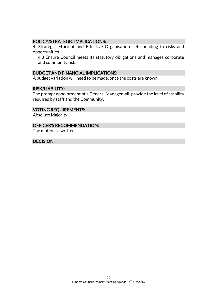#### POLICY/STRATEGIC IMPLICATIONS:

4. Strategic, Efficient and Effective Organisation - Responding to risks and opportunities.

4.3 Ensure Council meets its statutory obligations and manages corporate and community risk.

#### BUDGET AND FINANCIAL IMPLICATIONS:

A budget variation will need to be made, once the costs are known.

#### RISK/LIABILITY:

The prompt appointment of a General Manager will provide the level of stability required by staff and the Community.

#### VOTING REQUIREMENTS:

Absolute Majority

#### OFFICER'S RECOMMENDATION:

The motion as written.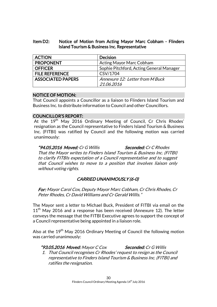# Item D2: Notice of Motion from Acting Mayor Marc Cobham - Flinders Island Tourism & Business Inc. Representative

| <b>ACTION</b>            | <b>Decision</b>                          |
|--------------------------|------------------------------------------|
| <b>PROPONENT</b>         | <b>Acting Mayor Marc Cobham</b>          |
| <b>OFFICER</b>           | Sophie Pitchford, Acting General Manager |
| <b>FILE REFERENCE</b>    | CSV/1704                                 |
| <b>ASSOCIATED PAPERS</b> | Annexure 12: Letter from M Buck          |
|                          | 21.06.2016                               |

# NOTICE OF MOTION:

That Council appoints a Councillor as a liaison to Flinders Island Tourism and Business Inc. to distribute information to Council and other Councillors.

#### COUNCILLOR'S REPORT:

At the 19<sup>th</sup> May 2016 Ordinary Meeting of Council, Cr Chris Rhodes' resignation as the Council representative to Finders Island Tourism & Business Inc. (FITBI) was ratified by Council and the following motion was carried unanimously:

"94.05.2016 Moved: Cr G Willis Seconded: Cr C Rhodes That the Mayor writes to Finders Island Tourism & Business Inc. (FITBI) to clarify FITBIs expectation of a Council representative and to suggest that Council wishes to move to a position that involves liaison only without voting rights.

# CARRIED UNANIMOUSLY (6-0)

For: Mayor Carol Cox, Deputy Mayor Marc Cobham, Cr Chris Rhodes, Cr Peter Rhodes, Cr David Williams and Cr Gerald Willis."

The Mayor sent a letter to Michael Buck, President of FITBI via email on the  $11<sup>th</sup>$  May 2016 and a response has been received (Annexure 12). The letter conveys the message that the FITBI Executive agrees to support the concept of a Council representative being appointed in a liaison role.

Also at the 19<sup>th</sup> May 2016 Ordinary Meeting of Council the following motion was carried unanimously:

#### "93.05.2016 Moved: Mayor C Cox Seconded: Cr G Willis

1. That Council recognises Cr Rhodes' request to resign as the Council representative to Finders Island Tourism & Business Inc. (FITBI) and ratifies the resignation.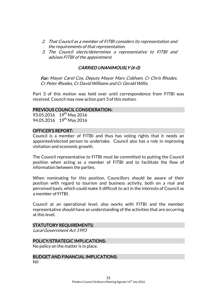- 2. That Council as a member of FITBI considers its representation and the requirements of that representation.
- 3. The Council elects/determines a representative to FITBI and advises FITBI of the appointment.

# CARRIED UNANIMOUSLY (6-0)

For: Mayor Carol Cox, Deputy Mayor Marc Cobham, Cr Chris Rhodes, Cr Peter Rhodes, Cr David Williams and Cr Gerald Willis.

Part 3 of this motion was held over until correspondence from FITBI was received. Council may now action part 3 of this motion.

#### PREVIOUS COUNCIL CONSIDERATION:

93.05.2016 19<sup>th</sup> May 2016 94.05.2016 19<sup>th</sup> May 2016

#### OFFICER'S REPORT:

Council is a member of FITBI and thus has voting rights that it needs an appointed/elected person to undertake. Council also has a role in improving visitation and economic growth.

The Council representative to FITBI must be committed to putting the Council position when acting as a member of FITBI and to facilitate the flow of information between the parties.

When nominating for this position, Councillors should be aware of their position with regard to tourism and business activity, both on a real and perceived basis, which could make it difficult to act in the interests of Council as a member of FITBI.

Council at an operational level, also works with FITBI and the member representative should have an understanding of the activities that are occurring at this level.

#### STATUTORY REQUIREMENTS:

Local Government Act 1993

# POLICY/STRATEGIC IMPLICATIONS:

No policy on the matter is in place.

# BUDGET AND FINANCIAL IMPLICATIONS:

Nil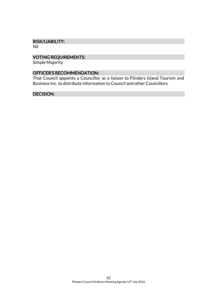#### RISK/LIABILITY:

Nil

# VOTING REQUIREMENTS:

Simple Majority

# OFFICER'S RECOMMENDATION:

That Council appoints a Councillor as a liaison to Flinders Island Tourism and Business Inc. to distribute information to Council and other Councillors.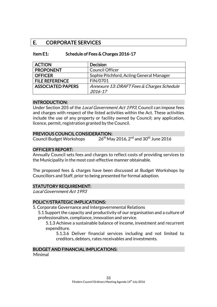# E. CORPORATE SERVICES

| Item E1: | Schedule of Fees & Charges 2016-17 |
|----------|------------------------------------|
|----------|------------------------------------|

| <b>ACTION</b>            | <b>Decision</b>                            |
|--------------------------|--------------------------------------------|
| <b>PROPONENT</b>         | <b>Council Officer</b>                     |
| <b>OFFICER</b>           | Sophie Pitchford, Acting General Manager   |
| <b>FILE REFERENCE</b>    | FIN/0701                                   |
| <b>ASSOCIATED PAPERS</b> | Annexure 13: DRAFT Fees & Charges Schedule |
|                          | 2016-17                                    |

#### INTRODUCTION:

Under Section 205 of the Local Government Act 1993, Council can impose fees and charges with respect of the listed activities within the Act. These activities include the use of any property or facility owned by Council; any application, licence, permit, registration granted by the Council.

# PREVIOUS COUNCIL CONSIDERATION:

Council Budget Workshops  $26^{th}$  May 2016, 2<sup>nd</sup> and 30<sup>th</sup> June 2016

#### OFFICER'S REPORT:

Annually Council sets fees and charges to reflect costs of providing services to the Municipality in the most cost-effective manner obtainable.

The proposed fees & charges have been discussed at Budget Workshops by Councillors and Staff, prior to being presented for formal adoption.

# STATUTORY REQUIREMENT:

Local Government Act 1993

# POLICY/STRATEGIC IMPLICATIONS:

5. Corporate Governance and Intergovernmental Relations

5.1 Support the capacity and productivity of our organisation and a culture of professionalism, compliance, innovation and service.

5.1.3 Achieve a sustainable balance of income, investment and recurrent expenditure.

5.1.3.6 Deliver financial services including and not limited to creditors, debtors, rates receivables and investments.

# BUDGET AND FINANCIAL IMPLICATIONS:

Minimal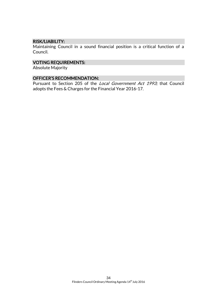#### RISK/LIABILITY:

Maintaining Council in a sound financial position is a critical function of a Council.

# VOTING REQUIREMENTS:

Absolute Majority

### OFFICER'S RECOMMENDATION:

Pursuant to Section 205 of the Local Government Act 1993; that Council adopts the Fees & Charges for the Financial Year 2016-17.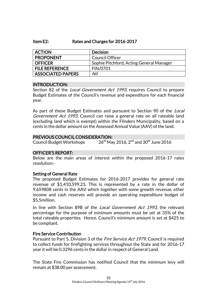#### Item E2: Rates and Charges for 2016-2017

| <b>ACTION</b>         | <b>Decision</b>                          |
|-----------------------|------------------------------------------|
| <b>PROPONENT</b>      | <b>Council Officer</b>                   |
| <b>OFFICER</b>        | Sophie Pitchford, Acting General Manager |
| <b>FILE REFERENCE</b> | FIN/0701                                 |
| ASSOCIATED PAPERS     | Nil                                      |

#### INTRODUCTION:

Section 82 of the *Local Government Act 1993*, requires Council to prepare Budget Estimates of the Council's revenue and expenditure for each financial year.

As part of these Budget Estimates and pursuant to Section 90 of the *Local* Government Act 1993, Council can raise a general rate on all rateable land (excluding land which is exempt) within the Flinders Municipality, based on a cents in the dollar amount on the Assessed Annual Value (AAV) of the land.

#### PREVIOUS COUNCIL CONSIDERATION:

Council Budget Workshops  $26^{\text{th}}$  May 2016, 2 $^{\text{nd}}$  and 30 $^{\text{th}}$  June 2016

#### OFFICER'S REPORT:

Below are the main areas of interest within the proposed 2016-17 rates resolution:-

#### Setting of General Rate

The proposed Budget Estimates for 2016-2017 provides for general rate revenue of \$1,410,599.23. This is represented by a rate in the dollar of 9.659808 cents in the AAV which together with some growth revenue, other income and cash reserves will provide an operating expenditure budget of \$5.5million.

In line with Section 89B of the *Local Government Act 1993*, the relevant percentage for the purpose of minimum amounts must be set at 35% of the total rateable properties. Hence, Council's minimum amount is set at \$425 to be compliant.

#### Fire Service Contribution

Pursuant to Part 5, Division 3 of the *Fire Service Act 1979*, Council is required to collect funds for firefighting services throughout the State and for 2016-17 year it will be 0.3296 cents in the dollar in respect of General Land.

The State Fire Commission has notified Council that the minimum levy will remain at \$38.00 per assessment.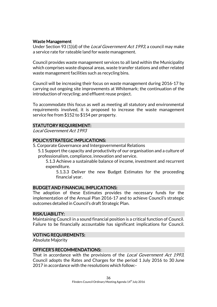#### Waste Management

Under Section 93 (1)(d) of the *Local Government Act 1993*, a council may make a service rate for rateable land for waste management.

Council provides waste management services to all land within the Municipality which comprises waste disposal areas, waste transfer stations and other related waste management facilities such as recycling bins.

Council will be increasing their focus on waste management during 2016-17 by carrying out ongoing site improvements at Whitemark; the continuation of the introduction of recycling; and effluent reuse project.

To accommodate this focus as well as meeting all statutory and environmental requirements involved, it is proposed to increase the waste management service fee from \$152 to \$154 per property.

#### STATUTORY REQUIREMENT:

Local Government Act 1993

#### POLICY/STRATEGIC IMPLICATIONS:

- 5. Corporate Governance and Intergovernmental Relations
	- 5.1 Support the capacity and productivity of our organisation and a culture of professionalism, compliance, innovation and service.

5.1.3 Achieve a sustainable balance of income, investment and recurrent expenditure.

5.1.3.3 Deliver the new Budget Estimates for the proceeding financial year.

#### BUDGET AND FINANCIAL IMPLICATIONS:

The adoption of these Estimates provides the necessary funds for the implementation of the Annual Plan 2016-17 and to achieve Council's strategic outcomes detailed in Council's draft Strategic Plan.

#### RISK/LIABILITY:

Maintaining Council in a sound financial position is a critical function of Council. Failure to be financially accountable has significant implications for Council.

#### VOTING REQUIREMENTS:

Absolute Majority

#### OFFICER'S RECOMMENDATIONS:

That in accordance with the provisions of the *Local Government Act 1993*, Council adopts the Rates and Charges for the period 1 July 2016 to 30 June 2017 in accordance with the resolutions which follow:-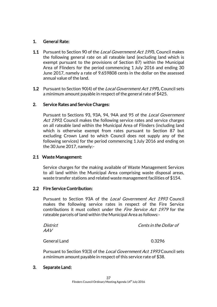# 1. General Rate:

- 1.1 Pursuant to Section 90 of the *Local Government Act 199*3. Council makes the following general rate on all rateable land (excluding land which is exempt pursuant to the provisions of Section 87) within the Municipal Area of Flinders for the period commencing 1 July 2016 and ending 30 June 2017, namely a rate of 9.659808 cents in the dollar on the assessed annual value of the land.
- **1.2** Pursuant to Section 90(4) of the *Local Government Act 199*3, Council sets a minimum amount payable in respect of the general rate of \$425.

# 2. Service Rates and Service Charges:

Pursuant to Sections 93, 93A, 94, 94A and 95 of the Local Government Act 1993, Council makes the following service rates and service charges on all rateable land within the Municipal Area of Flinders (including land which is otherwise exempt from rates pursuant to Section 87 but excluding Crown Land to which Council does not supply any of the following services) for the period commencing 1 July 2016 and ending on the 30June 2017, namely:-

# 2.1 Waste Management:

Service charges for the making available of Waste Management Services to all land within the Municipal Area comprising waste disposal areas, waste transfer stations and related waste management facilities of \$154.

# 2.2 Fire Service Contribution:

Pursuant to Section 93A of the Local Government Act 1993 Council makes the following service rates in respect of the Fire Service contributions it must collect under the *Fire Service Act 1979* for the rateable parcels of land within the Municipal Area as follows:-

| District            | <i>Cents in the Dollar of</i> |
|---------------------|-------------------------------|
| AAV                 |                               |
| <b>General Land</b> | 0.3296                        |

Pursuant to Section 93(3) of the *Local Government Act 1993* Council sets a minimum amount payable in respect of this service rate of \$38.

# 3. Separate Land: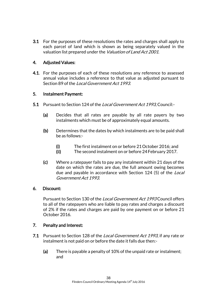3.1 For the purposes of these resolutions the rates and charges shall apply to each parcel of land which is shown as being separately valued in the valuation list prepared under the *Valuation of Land Act 2001*.

# 4. Adjusted Values:

**4.1.** For the purposes of each of these resolutions any reference to assessed annual value includes a reference to that value as adjusted pursuant to Section 89 of the Local Government Act 1993.

# 5. Instalment Payment:

- 5.1 Pursuant to Section 124 of the Local Government Act 1993, Council:-
	- (a) Decides that all rates are payable by all rate payers by two instalments which must be of approximately equal amounts.
	- (b) Determines that the dates by which instalments are to be paid shall be as follows:-
		- (i) The first instalment on or before 21October 2016; and
		- (ii) The second instalment on or before 24February 2017.
	- (c) Where a ratepayer fails to pay any instalment within 21 days of the date on which the rates are due, the full amount owing becomes due and payable in accordance with Section 124 (5) of the *Local* Government Act 1993.

# 6. Discount:

Pursuant to Section 130 of the Local Government Act 1993 Council offers to all of the ratepayers who are liable to pay rates and charges a discount of 2% if the rates and charges are paid by one payment on or before 21 October 2016.

# 7. Penalty and Interest:

- 7.1 Pursuant to Section 128 of the Local Government Act 1993, if any rate or instalment is not paid on or before the date it falls due then:-
	- (a) There is payable a penalty of 10% of the unpaid rate or instalment; and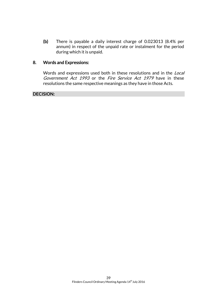(b) There is payable a daily interest charge of 0.023013 (8.4% per annum) in respect of the unpaid rate or instalment for the period during which it is unpaid.

# 8. Words and Expressions:

Words and expressions used both in these resolutions and in the Local Government Act 1993 or the Fire Service Act 1979 have in these resolutions the same respective meanings as they have in those Acts.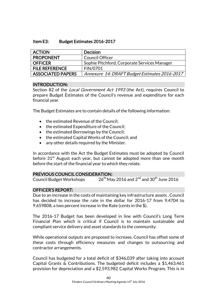#### Item E3: Budget Estimates 2016-2017

| <b>ACTION</b>            | <b>Decision</b>                               |
|--------------------------|-----------------------------------------------|
| <b>PROPONENT</b>         | <b>Council Officer</b>                        |
| <b>OFFICER</b>           | Sophie Pitchford, Corporate Services Manager  |
| <b>FILE REFERENCE</b>    | FIN/0701                                      |
| <b>ASSOCIATED PAPERS</b> | Annexure 14: DRAFT Budget Estimates 2016-2017 |

#### INTRODUCTION:

Section 82 of the *Local Government Act 1993* (the Act), requires Council to prepare Budget Estimates of the Council's revenue and expenditure for each financial year.

The Budget Estimates are to contain details of the following information:

- the estimated Revenue of the Council;
- the estimated Expenditure of the Council:
- the estimated Borrowings by the Council;
- the estimated Capital Works of the Council; and
- any other details required by the Minister.

In accordance with the Act the Budget Estimates must be adopted by Council before  $31<sup>st</sup>$  August each year, but cannot be adopted more than one month before the start of the financial year to which they relate.

# PREVIOUS COUNCIL CONSIDERATION:

Council Budget Workshops  $26^{\text{th}}$  May 2016 and  $2^{\text{nd}}$  and  $30^{\text{th}}$  June 2016

# OFFICER'S REPORT:

Due to an increase in the costs of maintaining key infrastructure assets , Council has decided to increase the rate in the dollar for 2016-17 from 9.4704 to 9.659808, a two percent increase in the Rate (cents in the \$).

The 2016-17 Budget has been developed in line with Council's Long Term Financial Plan which is critical if Council is to maintain sustainable and compliant service delivery and asset standards to the community.

While operational outputs are proposed to increase, Council has offset some of these costs through efficiency measures and changes to outsourcing and contractor arrangements.

Council has budgeted for a total deficit of \$346,039 after taking into account Capital Grants & Contributions. The budgeted deficit includes a \$1,463,461 provision for depreciation and a \$2,593,982 Capital Works Program. This is in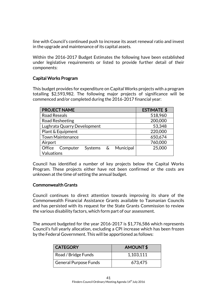line with Council's continued push to increase its asset renewal ratio and invest in the upgrade and maintenance of its capital assets.

Within the 2016-2017 Budget Estimates the following have been established under legislative requirements or listed to provide further detail of their components:

# Capital Works Program

This budget provides for expenditure on Capital Works projects with a program totalling \$2,593,982. The following major projects of significance will be commenced and/or completed during the 2016-2017 financial year:

| <b>PROJECT NAME</b>                    | <b>ESTIMATE \$</b> |
|----------------------------------------|--------------------|
| <b>Road Reseals</b>                    | 518,960            |
| Road Resheeting                        | 200,000            |
| Lughrata Quarry Development            | 53,348             |
| Plant & Equipment                      | 220,000            |
| <b>Town Maintenance</b>                | 650,674            |
| Airport                                | 760,000            |
| Systems & Municipal<br>Office Computer | 25,000             |
| Valuations                             |                    |

Council has identified a number of key projects below the Capital Works Program. These projects either have not been confirmed or the costs are unknown at the time of setting the annual budget.

# Commonwealth Grants

Council continues to direct attention towards improving its share of the Commonwealth Financial Assistance Grants available to Tasmanian Councils and has persisted with its request for the State Grants Commission to review the various disability factors, which form part of our assessment.

The amount budgeted for the year 2016-2017 is \$1,776,586 which represents Council's full yearly allocation, excluding a CPI increase which has been frozen by the Federal Government. This will be apportioned as follows:

| <b>CATEGORY</b>              | AMOUNT\$  |
|------------------------------|-----------|
| Road / Bridge Funds          | 1,103,111 |
| <b>General Purpose Funds</b> | 673,475   |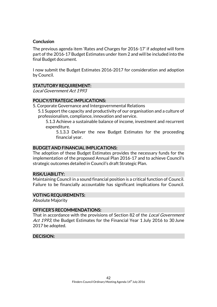### **Conclusion**

The previous agenda item 'Rates and Charges for 2016-17' if adopted will form part of the 2016-17 Budget Estimates under Item 2 and will be included into the final Budget document.

I now submit the Budget Estimates 2016-2017 for consideration and adoption by Council.

# STATUTORY REQUIREMENT:

Local Government Act 1993

# POLICY/STRATEGIC IMPLICATIONS:

5. Corporate Governance and Intergovernmental Relations

5.1 Support the capacity and productivity of our organisation and a culture of professionalism, compliance, innovation and service.

5.1.3 Achieve a sustainable balance of income, investment and recurrent expenditure.

5.1.3.3 Deliver the new Budget Estimates for the proceeding financial year.

#### BUDGET AND FINANCIAL IMPLICATIONS:

The adoption of these Budget Estimates provides the necessary funds for the implementation of the proposed Annual Plan 2016-17 and to achieve Council's strategic outcomes detailed in Council's draft Strategic Plan.

#### RISK/LIABILITY:

Maintaining Council in a sound financial position is a critical function of Council. Failure to be financially accountable has significant implications for Council.

#### VOTING REQUIREMENTS:

Absolute Majority

#### OFFICER'S RECOMMENDATIONS:

That in accordance with the provisions of Section 82 of the *Local Government* Act 1993, the Budget Estimates for the Financial Year 1 July 2016 to 30 June 2017 be adopted.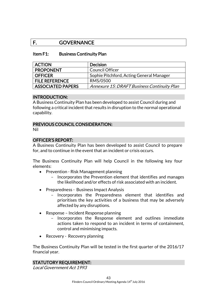# F. GOVERNANCE

#### Item F1: Business Continuity Plan

| <b>ACTION</b>         | <b>Decision</b>                             |
|-----------------------|---------------------------------------------|
| <b>PROPONENT</b>      | <b>Council Officer</b>                      |
| <b>OFFICER</b>        | Sophie Pitchford, Acting General Manager    |
| <b>FILE REFERENCE</b> | RMS/0500                                    |
| ASSOCIATED PAPERS     | Annexure 15: DRAFT Business Continuity Plan |

#### INTRODUCTION:

A Business Continuity Plan has been developed to assist Council during and following a critical incident that results in disruption to the normal operational capability.

#### PREVIOUS COUNCIL CONSIDERATION:

Nil

#### OFFICER'S REPORT:

A Business Continuity Plan has been developed to assist Council to prepare for, and to continue in the event that an incident or crisis occurs.

The Business Continuity Plan will help Council in the following key four elements:

- Prevention Risk Management planning
	- Incorporates the Prevention element that identifies and manages the likelihood and/or effects of risk associated with an incident.
- Preparedness Business Impact Analysis
	- Incorporates the Preparedness element that identifies and prioritises the key activities of a business that may be adversely affected by any disruptions.
- Response Incident Response planning
	- Incorporates the Response element and outlines immediate actions taken to respond to an incident in terms of containment, control and minimising impacts.
- Recovery Recovery planning

The Business Continuity Plan will be tested in the first quarter of the 2016/17 financial year.

# STATUTORY REQUIREMENT:

Local Government Act 1993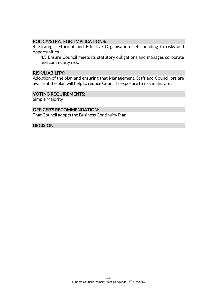#### POLICY/STRATEGIC IMPLICATIONS:

4. Strategic, Efficient and Effective Organisation - Responding to risks and opportunities.

4.3 Ensure Council meets its statutory obligations and manages corporate and community risk.

#### RISK/LIABILITY:

Adoption of the plan and ensuring that Management, Staff and Councillors are aware of the plan will help to reduce Council's exposure to risk in this area.

#### VOTING REQUIREMENTS:

Simple Majority

#### OFFICER'S RECOMMENDATION:

That Council adopts the Business Continuity Plan.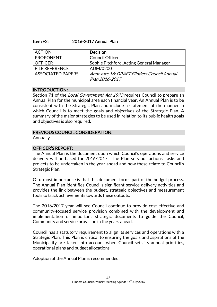| <b>ACTION</b>            | <b>Decision</b>                            |
|--------------------------|--------------------------------------------|
| <b>PROPONENT</b>         | Council Officer                            |
| <b>OFFICER</b>           | Sophie Pitchford, Acting General Manager   |
| <b>FILE REFERENCE</b>    | ADM/0200                                   |
| <b>ASSOCIATED PAPERS</b> | Annexure 16: DRAFT Flinders Council Annual |
|                          | Plan 2016-2017                             |

#### INTRODUCTION:

Section 71 of the *Local Government Act 1993* requires Council to prepare an Annual Plan for the municipal area each financial year. An Annual Plan is to be consistent with the Strategic Plan and include a statement of the manner in which Council is to meet the goals and objectives of the Strategic Plan. A summary of the major strategies to be used in relation to its public health goals and objectives is also required.

#### PREVIOUS COUNCIL CONSIDERATION:

Annually

# OFFICER'S REPORT:

The Annual Plan is the document upon which Council's operations and service delivery will be based for 2016/2017. The Plan sets out actions, tasks and projects to be undertaken in the year ahead and how these relate to Council's Strategic Plan.

Of utmost importance is that this document forms part of the budget process. The Annual Plan identifies Council's significant service delivery activities and provides the link between the budget, strategic objectives and measurement tools to track achievements towards these outputs.

The 2016/2017 year will see Council continue to provide cost-effective and community-focused service provision combined with the development and implementation of important strategic documents to guide the Council, Community and service provision in the years ahead.

Council has a statutory requirement to align its services and operations with a Strategic Plan. This Plan is critical to ensuring the goals and aspirations of the Municipality are taken into account when Council sets its annual priorities, operational plans and budget allocations.

Adoption of the Annual Plan is recommended.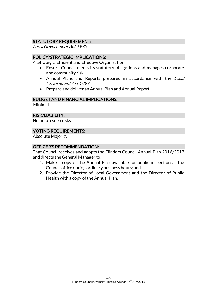# STATUTORY REQUIREMENT:

Local Government Act 1993

### POLICY/STRATEGIC IMPLICATIONS:

4. Strategic, Efficient and Effective Organisation

- Ensure Council meets its statutory obligations and manages corporate and community risk.
- Annual Plans and Reports prepared in accordance with the Local Government Act 1993.
- Prepare and deliver an Annual Plan and Annual Report.

#### BUDGET AND FINANCIAL IMPLICATIONS:

Minimal

#### RISK/LIABILITY:

No unforeseen risks

#### VOTING REQUIREMENTS:

Absolute Majority

#### OFFICER'S RECOMMENDATION:

That Council receives and adopts the Flinders Council Annual Plan 2016/2017 and directs the General Manager to:

- 1. Make a copy of the Annual Plan available for public inspection at the Council office during ordinary business hours; and
- 2. Provide the Director of Local Government and the Director of Public Health with a copy of the Annual Plan.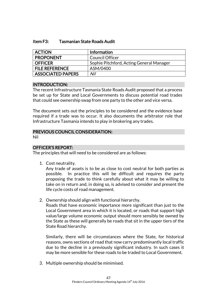#### Item F3: Tasmanian State Roads Audit

| <b>ACTION</b>            | <b>Information</b>                       |
|--------------------------|------------------------------------------|
| <b>PROPONENT</b>         | <b>Council Officer</b>                   |
| <b>OFFICER</b>           | Sophie Pitchford, Acting General Manager |
| <b>FILE REFERENCE</b>    | ASM/0400                                 |
| <b>ASSOCIATED PAPERS</b> | Nil                                      |

#### INTRODUCTION:

The recent Infrastructure Tasmania State Roads Audit proposed that a process be set up for State and Local Governments to discuss potential road trades that could see ownership swap from one party to the other and vice versa.

The document sets out the principles to be considered and the evidence base required if a trade was to occur. It also documents the arbitrator role that Infrastructure Tasmania intends to play in brokering any trades.

#### PREVIOUS COUNCIL CONSIDERATION:

Nil

#### OFFICER'S REPORT:

The principles that will need to be considered are as follows:

1. Cost neutrality.

Any trade of assets is to be as close to cost neutral for both parties as possible. In practice this will be difficult and requires the party proposing the trade to think carefully about what it may be willing to take on in return and, in doing so, is advised to consider and present the life cycle costs of road management.

2. Ownership should align with functional hierarchy.

Roads that have economic importance more significant than just to the Local Government area in which it is located, or roads that support high value/large volume economic output should more sensibly be owned by the State as these will generally be roads that sit in the upper tiers of the State Road hierarchy.

Similarly, there will be circumstances where the State, for historical reasons, owns sections of road that now carry predominantly local traffic due to the decline in a previously significant industry. In such cases it may be more sensible for these roads to be traded to Local Government.

3. Multiple ownership should be minimised.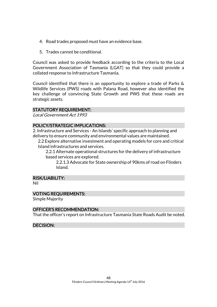- 4. Road trades proposed must have an evidence base.
- 5. Trades cannot be conditional.

Council was asked to provide feedback according to the criteria to the Local Government Association of Tasmania (LGAT) so that they could provide a collated response to Infrastructure Tasmania.

Council identified that there is an opportunity to explore a trade of Parks & Wildlife Services (PWS) roads with Palana Road, however also identified the key challenge of convincing State Growth and PWS that these roads are strategic assets.

#### STATUTORY REQUIREMENT:

Local Government Act 1993

#### POLICY/STRATEGIC IMPLICATIONS:

2. Infrastructure and Services - An Islands' specific approach to planning and delivery to ensure community and environmental values are maintained.

2.2 Explore alternative investment and operating models for core and critical Island infrastructures and services.

2.2.1 Alternate operational structures for the delivery of infrastructure based services are explored.

2.2.1.3 Advocate for State ownership of 90kms of road on Flinders Island.

#### RISK/LIABILITY:

Nil

#### VOTING REQUIREMENTS:

Simple Majority

#### OFFICER'S RECOMMENDATION:

That the officer's report on Infrastructure Tasmania State Roads Audit be noted.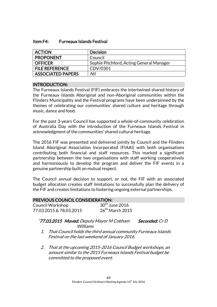#### Item F4: Furneaux Islands Festival

| <b>ACTION</b>            | <b>Decision</b>                          |
|--------------------------|------------------------------------------|
| <b>PROPONENT</b>         | Council                                  |
| <b>OFFICER</b>           | Sophie Pitchford, Acting General Manager |
| <b>FILE REFERENCE</b>    | CDV/0301                                 |
| <b>ASSOCIATED PAPERS</b> | Nil                                      |

#### INTRODUCTION:

The Furneaux Islands Festival (FIF) embraces the intertwined shared history of the Furneaux Islands Aboriginal and non-Aboriginal communities within the Flinders Municipality and the Festival programs have been underpinned by the themes of celebrating our communities' shared culture and heritage through music, dance and food.

For the past 3-years Council has supported a whole-of-community celebration of Australia Day with the introduction of the Furneaux Islands Festival in acknowledgment of the communities' shared cultural heritage.

The 2016 FIF was presented and delivered jointly by Council and the Flinders Island Aboriginal Association Incorporated (FIAAI) with both organisations contributing both financial and staff resources. This marked a significant partnership between the two organisations with staff working cooperatively and harmoniously to develop the program and deliver the FIF events in a genuine partnership built on mutual respect.

The Council annual decision to support, or not, the FIF with an associated budget allocation creates staff limitations to successfully plan the delivery of the FIF and creates limitations to fostering ongoing external partnerships.

| <b>PREVIOUS COUNCIL CONSIDERATION:</b> |                            |  |
|----------------------------------------|----------------------------|--|
| Council Workshop                       | $30^{\text{th}}$ June 2016 |  |
| 77.03.2015 & 78.03.2015                | $26th$ March 2015          |  |

#### "77.03.2015 Moved: Deputy Mayor M Cobham Seconded: Cr D Williams

- 1. That Council holds the third annual community Furneaux Islands Festival on the last weekend of January 2016.
- 2. That at the upcoming 2015-2016 Council Budget workshops, an amount similar to the 2015 Furneaux Islands Festival budget be committed to the proposed event.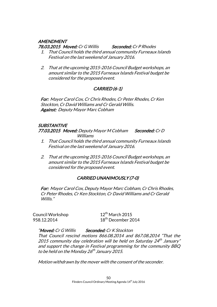# **AMENDMENT**

78.03.2015 Moved: Cr G Willis Seconded: Cr P Rhodes

- 1. That Council holds the third annual community Furneaux Islands Festival on the last weekend of January 2016.
- 2. That at the upcoming 2015-2016 Council Budget workshops, an amount similar to the 2015 Furneaux Islands Festival budget be considered for the proposed event.

# CARRIED (6-1)

For: Mayor Carol Cox, Cr Chris Rhodes, Cr Peter Rhodes, Cr Ken Stockton, Cr David Williams and Cr Gerald Willis. Against: Deputy Mayor Marc Cobham

# **SUBSTANTIVE**

77.03.2015 Moved: Deputy Mayor M Cobham Seconded: Cr D Williams

- 1. That Council holds the third annual community Furneaux Islands Festival on the last weekend of January 2016.
- 2. That at the upcoming 2015-2016 Council Budget workshops, an amount similar to the 2015 Furneaux Islands Festival budget be considered for the proposed event.

# CARRIED UNANIMOUSLY (7-0)

For: Mayor Carol Cox, Deputy Mayor Marc Cobham, Cr Chris Rhodes, Cr Peter Rhodes, Cr Ken Stockton, Cr David Williams and Cr Gerald Willis."

Council Workshop 12<sup>th</sup> March 2015

958.12.2014 18<sup>th</sup> December 2014

"Moved: Cr G Willis Seconded: Cr K Stockton That Council rescind motions 866.08.2014 and 867.08.2014 "That the 2015 community day celebration will be held on Saturday 24<sup>th</sup> January" and support the change in Festival programming for the community BBQ to be held on the Monday 26<sup>th</sup> January 2015.

Motion withdrawn by the mover with the consent of the seconder.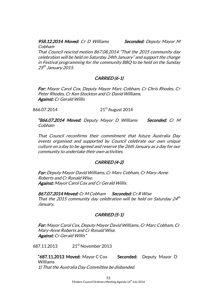# 958.12.2014 Moved: Cr D Williams Seconded: Deputy Mayor M

Cobham

That Council rescind motion 867.08.2014 "That the 2015 community day celebration will be held on Saturday 24th January" and support the change in Festival programming for the community BBQ to be held on the Sunday 25<sup>th</sup> January 2015.

# CARRIED (6-1)

For: Mayor Carol Cox, Deputy Mayor Marc Cobham, Cr Chris Rhodes, Cr Peter Rhodes, Cr Ken Stockton and Cr David Williams. Against: Cr Gerald Willis

866.07.2014 21<sup>st</sup> August 2014

"866.07.2014 Moved: Deputy Mayor D Williams Seconded: Cr M Cobham

That Council reconfirms their commitment that future Australia Day events organised and supported by Council celebrate our own unique culture on a day to be agreed and reserve the 26th January as a day for our community to undertake their own activities.

# CARRIED (4-2)

For: Deputy Mayor David Williams, Cr Marc Cobham, Cr Mary-Anne Roberts and Cr Ronald Wise. Against: Mayor Carol Cox and Cr Gerald Willis.

867.07.2014 Moved: Cr M Cobham Seconded: Cr R Wise That the 2015 community day celebration will be held on Saturday  $24<sup>th</sup>$ January.

# CARRIED (5-1)

For: Mayor Carol Cox, Deputy Mayor David Williams, Cr Marc Cobham, Cr Mary-Anne Roberts and Cr Ronald Wise. Against: Cr Gerald Willis"

687.11.2013 21st November 2013

"687.11.2013 Moved: Mayor C Cox Seconded: Deputy Mayor D Williams 1) That the Australia Day Committee be disbanded.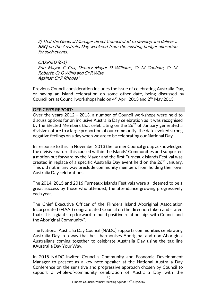2) That the General Manager direct Council staff to develop and deliver a BBQ on the Australia Day weekend from the existing budget allocation for such events.

CARRIED (6-1) For: Mayor C Cox, Deputy Mayor D Williams, Cr M Cobham, Cr M Roberts, Cr G Willis and Cr R Wise Against: Cr P Rhodes"

Previous Council consideration includes the issue of celebrating Australia Day, or having an island celebration on some other date, being discussed by Councillors at Council workshops held on  $4^{th}$  April 2013 and  $2^{nd}$  May 2013.

#### OFFICER'S REPORT:

Over the years 2012 - 2013, a number of Council workshops were held to discuss options for an inclusive Australia Day celebration as it was recognised by the Elected Members that celebrating on the  $26<sup>th</sup>$  of January generated a divisive nature to a large proportion of our community; the date evoked strong negative feelings on a day when we are to be celebrating our National Day.

In response to this, in November 2013 the former Council group acknowledged the divisive nature this caused within the Islands' Communities and supported a motion put forward by the Mayor and the first Furneaux Islands Festival was created in replace of a specific Australia Day event held on the  $26<sup>th</sup>$  January. This did not in any way preclude community members from holding their own Australia Day celebrations.

The 2014, 2015 and 2016 Furneaux Islands Festivals were all deemed to be a great success by those who attended; the attendance growing progressively each year.

The Chief Executive Officer of the Flinders Island Aboriginal Association Incorporated (FIAAI) congratulated Council on the direction taken and stated that: "it is a giant step forward to build positive relationships with Council and the Aboriginal Community".

The National Australia Day Council (NADC) supports communities celebrating Australia Day in a way that best harmonises Aboriginal and non-Aboriginal Australians coming together to celebrate Australia Day using the tag line #Australia Day Your Way.

In 2015 NADC invited Council's Community and Economic Development Manager to present as a key note speaker at the National Australia Day Conference on the sensitive and progressive approach chosen by Council to support a whole-of-community celebration of Australia Day with the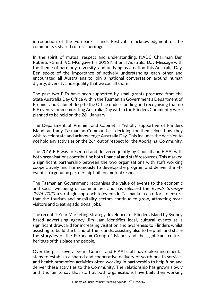introduction of the Furneaux Islands Festival in acknowledgment of the community's shared cultural heritage.

In the spirit of mutual respect and understanding, NADC Chairman Ben Roberts - Smith VC MG, gave his 2016 National Australia Day Message with the theme of harmony, diversity, and unifying as a nation this Australia Day. Ben spoke of the importance of actively understanding each other and encouraged all Australians to join a national conversation around human dignity, diversity and equality that we can all share.

The past two FIFs have been supported by small grants procured from the State Australia Day Office within the Tasmanian Government's Department of Premier and Cabinet despite the Office understanding and recognising that no FIF events commemorating Australia Day within the Flinders Community were planned to be held on the  $26<sup>th</sup>$  January.

The Department of Premier and Cabinet is "wholly supportive of Flinders Island, and any Tasmanian Communities, deciding for themselves how they wish to celebrate and acknowledge Australia Day. This includes the decision to not hold any activities on the  $26<sup>th</sup>$  out of respect for the Aboriginal Community."

The 2016 FIF was presented and delivered jointly by Council and FIAAI with both organisations contributing both financial and staff resources. This marked a significant partnership between the two organisations with staff working cooperatively and harmoniously to develop the program and deliver the FIF events in a genuine partnership built on mutual respect.

The Tasmanian Government recognises the value of events to the economic and social wellbeing of communities and has released the Events Strategy 2015-2020, a strategic approach to events in Tasmania in an effort to ensure that the tourism and hospitality sectors continue to grow, attracting more visitors and creating additional jobs.

The recent 4-Year Marketing Strategy developed for Flinders Island by Sydney based advertising agency Jim Jam identifies local, cultural events as a significant drawcard for increasing visitation and awareness to Flinders whilst assisting to build the brand of the Islands; assisting also to help tell and share the story/ies of the Furneaux Group of Islands and the significant cultural heritage of this place and people.

Over the past several years Council and FIAAI staff have taken incremental steps to establish a shared and cooperative delivery of youth health services and health promotion activities often working in partnership to help fund and deliver these activities to the Community. The relationship has grown slowly and it is fair to say that staff at both organisations have built their working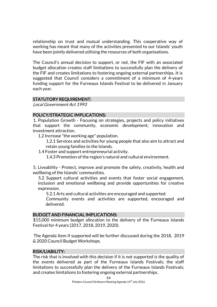relationship on trust and mutual understanding. This cooperative way of working has meant that many of the activities presented to our Islands' youth have been jointly delivered utilising the resources of both organisations.

The Council's annual decision to support, or not, the FIF with an associated budget allocation creates staff limitations to successfully plan the delivery of the FIF and creates limitations to fostering ongoing external partnerships. It is suggested that Council considers a commitment of a minimum of 4-years funding support for the Furneaux Islands Festival to be delivered in January each year.

#### STATUTORY REQUIREMENT:

Local Government Act 1993

#### POLICY/STRATEGIC IMPLICATIONS:

1. Population Growth - Focusing on strategies, projects and policy initiatives that support the community, economic development, innovation and investment attraction.

1.2 Increase "the working age" population.

1.2.1 Services and activities for young people that also aim to attract and retain young families to the Islands.

1.4 Foster and support entrepreneurial activity.

1.4.3 Promotion of the region's natural and cultural environment.

5. Liveability - Protect, improve and promote the safety, creativity, health and wellbeing of the Islands' communities.

5.2 Support cultural activities and events that foster social engagement, inclusion and emotional wellbeing and provide opportunities for creative expression.

5.2.1 Arts and cultural activities are encouraged and supported.

Community events and activities are supported, encouraged and delivered.

#### BUDGET AND FINANCIAL IMPLICATIONS:

\$15,000 minimum budget allocation to the delivery of the Furneaux Islands Festival for 4 years (2017, 2018, 2019, 2020).

The Agenda Item if supported will be further discussed during the 2018, 2019 & 2020 Council Budget Workshops.

#### RISK/LIABILITY:

The risk that is involved with this decision if it is not supported is the quality of the events delivered as part of the Furneaux Islands Festivals; the staff limitations to successfully plan the delivery of the Furneaux Islands Festivals; and creates limitations to fostering ongoing external partnerships.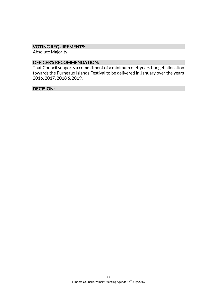# VOTING REQUIREMENTS:

Absolute Majority

# OFFICER'S RECOMMENDATION:

That Council supports a commitment of a minimum of 4-years budget allocation towards the Furneaux Islands Festival to be delivered in January over the years 2016, 2017, 2018 & 2019.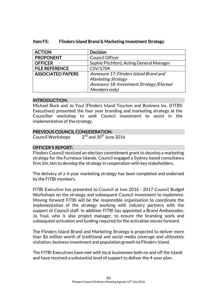| <b>ACTION</b>            | <b>Decision</b>                           |
|--------------------------|-------------------------------------------|
| <b>PROPONENT</b>         | <b>Council Officer</b>                    |
| <b>OFFICER</b>           | Sophie Pitchford, Acting General Manager  |
| <b>FILE REFERENCE</b>    | CSV/1704                                  |
| <b>ASSOCIATED PAPERS</b> | Annexure 17: Flinders Island Brand and    |
|                          | <b>Marketing Strategy</b>                 |
|                          | Annexure 18: Investment Strategy (Elected |
|                          | Members only)                             |

# Item F5: Flinders Island Brand & Marketing Investment Strategy

#### INTRODUCTION:

Michael Buck and Jo Youl (Flinders Island Tourism and Business Inc. (FITBI) Executives) presented the four year branding and marketing strategy at the Councillor workshop to seek Council investment to assist in the implementation of the strategy.

# PREVIOUS COUNCIL CONSIDERATION:

Council Workshops 2  $2<sup>nd</sup>$  and 30<sup>th</sup> June 2016

# OFFICER'S REPORT:

Flinders Council received an election commitment grant to develop a marketing strategy for the Furneaux Islands. Council engaged a Sydney based consultancy firm Jim Jam to develop the strategy in cooperation with key stakeholders.

The delivery of a 4-year marketing strategy has been completed and endorsed by the FITBI members.

FITBI Executive has presented to Council at two 2016 - 2017 Council Budget Workshops on the strategy and subsequent Council investment to implement. Moving forward FITBI will be the responsible organisation to coordinate the implementation of the strategy working with industry partners with the support of Council staff. In addition FITBI has appointed a Brand Ambassador, Jo Youl, who is also project manager, to ensure the branding work and subsequent activation and funding required for the activation moves forward.

The Flinders Island Brand and Marketing Strategy is projected to deliver more than \$6 million worth of traditional and social media coverage and ultimately visitation, business investment and population growth to Flinders Island.

The FITBI Executives have met with local businesses both on and off the Island and have received a substantial level of support to deliver the 4-year plan.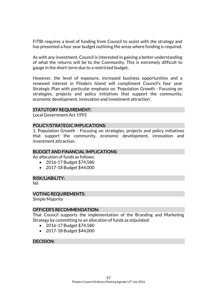FITBI requires a level of funding from Council to assist with the strategy and has presented a four year budget outlining the areas where funding is required.

As with any investment, Council is interested in gaining a better understanding of what the returns will be to the Community. This is extremely difficult to gauge in the short-term due to a restricted budget.

However, the level of exposure, increased business opportunities and a renewed interest in Flinders Island will compliment Council's four year Strategic Plan with particular emphasis on 'Population Growth - Focusing on strategies, projects and policy initiatives that support the community, economic development, innovation and investment attraction'.

#### STATUTORY REQUIREMENT:

Local Government Act 1993

#### POLICY/STRATEGIC IMPLICATIONS:

1. Population Growth - Focusing on strategies, projects and policy initiatives that support the community, economic development, innovation and investment attraction.

#### BUDGET AND FINANCIAL IMPLICATIONS:

An allocation of funds as follows:

- 2016-17 Budget \$74,580
- 2017-18 Budget \$44,000

#### RISK/LIABILITY:

Nil

#### VOTING REQUIREMENTS:

Simple Majority

#### OFFICER'S RECOMMENDATION:

That Council supports the implementation of the Branding and Marketing Strategy by committing to an allocation of funds as stipulated:

- 2016-17 Budget \$74,580
- 2017-18 Budget \$44,000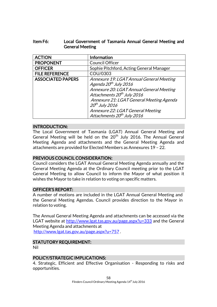# Item F6: Local Government of Tasmania Annual General Meeting and General Meeting

| <b>ACTION</b>            | Information                                                                                                                                                                                                                                                                                                        |
|--------------------------|--------------------------------------------------------------------------------------------------------------------------------------------------------------------------------------------------------------------------------------------------------------------------------------------------------------------|
| <b>PROPONENT</b>         | <b>Council Officer</b>                                                                                                                                                                                                                                                                                             |
| <b>OFFICER</b>           | Sophie Pitchford, Acting General Manager                                                                                                                                                                                                                                                                           |
| <b>FILE REFERENCE</b>    | COU/0303                                                                                                                                                                                                                                                                                                           |
| <b>ASSOCIATED PAPERS</b> | Annexure 19: LGAT Annual General Meeting<br>Agenda 20 <sup>th</sup> July 2016<br>Annexure 20: LGAT Annual General Meeting<br>Attachments 20 <sup>th</sup> July 2016<br>Annexure 21: LGAT General Meeting Agenda<br>$20th$ July 2016<br>Annexure 22: LGAT General Meeting<br>Attachments 20 <sup>th</sup> July 2016 |

#### INTRODUCTION:

The Local Government of Tasmania (LGAT) Annual General Meeting and General Meeting will be held on the 20<sup>th</sup> July 2016. The Annual General Meeting Agenda and attachments and the General Meeting Agenda and attachments are provided for Elected Members as Annexures 19 – 22.

# PREVIOUS COUNCIL CONSIDERATION:

Council considers the LGAT Annual General Meeting Agenda annually and the General Meeting Agenda at the Ordinary Council meeting prior to the LGAT General Meeting to allow Council to inform the Mayor of what position it wishes the Mayor to take in relation to voting on specific matters.

#### OFFICER'S REPORT:

A number of motions are included in the LGAT Annual General Meeting and the General Meeting Agendas. Council provides direction to the Mayor in relation to voting.

The Annual General Meeting Agenda and attachments can be accessed via the LGAT website at<http://www.lgat.tas.gov.au/page.aspx?u=333> and the General Meeting Agenda and attachments at <http://www.lgat.tas.gov.au/page.aspx?u=757> .

# STATUTORY REQUIREMENT:

Nil

#### POLICY/STRATEGIC IMPLICATIONS:

4. Strategic, Efficient and Effective Organisation - Responding to risks and opportunities.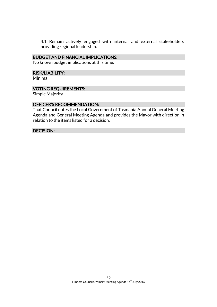4.1 Remain actively engaged with internal and external stakeholders providing regional leadership.

#### BUDGET AND FINANCIAL IMPLICATIONS:

No known budget implications at this time.

#### RISK/LIABILITY:

Minimal

#### VOTING REQUIREMENTS:

Simple Majority

#### OFFICER'S RECOMMENDATION:

That Council notes the Local Government of Tasmania Annual General Meeting Agenda and General Meeting Agenda and provides the Mayor with direction in relation to the items listed for a decision.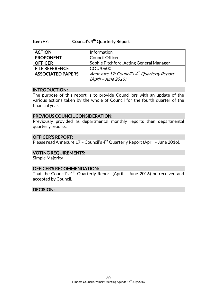#### Item F7: Council's 4<sup>th</sup> Quarterly Report

| <b>ACTION</b>            | Information                                             |
|--------------------------|---------------------------------------------------------|
| <b>PROPONENT</b>         | <b>Council Officer</b>                                  |
| <b>OFFICER</b>           | Sophie Pitchford, Acting General Manager                |
| <b>FILE REFERENCE</b>    | COU/0600                                                |
| <b>ASSOCIATED PAPERS</b> | Annexure 17: Council's 4 <sup>th</sup> Quarterly Report |
|                          | (April - June 2016)                                     |

#### INTRODUCTION:

The purpose of this report is to provide Councillors with an update of the various actions taken by the whole of Council for the fourth quarter of the financial year.

#### PREVIOUS COUNCIL CONSIDERATION:

Previously provided as departmental monthly reports then departmental quarterly reports.

#### OFFICER'S REPORT:

Please read Annexure 17 - Council's 4<sup>th</sup> Quarterly Report (April - June 2016).

#### VOTING REQUIREMENTS:

Simple Majority

#### OFFICER'S RECOMMENDATION:

That the Council's  $4<sup>th</sup>$  Quarterly Report (April - June 2016) be received and accepted by Council.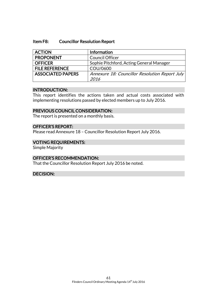#### Item F8: Councillor Resolution Report

| <b>ACTION</b>            | Information                                    |
|--------------------------|------------------------------------------------|
| <b>PROPONENT</b>         | <b>Council Officer</b>                         |
| <b>OFFICER</b>           | Sophie Pitchford, Acting General Manager       |
| <b>FILE REFERENCE</b>    | COU/0600                                       |
| <b>ASSOCIATED PAPERS</b> | Annexure 18: Councillor Resolution Report July |
|                          | 2016                                           |

#### INTRODUCTION:

This report identifies the actions taken and actual costs associated with implementing resolutions passed by elected members up to July 2016.

#### PREVIOUS COUNCIL CONSIDERATION:

The report is presented on a monthly basis.

# OFFICER'S REPORT:

Please read Annexure 18 – Councillor Resolution Report July 2016.

#### VOTING REQUIREMENTS:

Simple Majority

#### OFFICER'S RECOMMENDATION:

That the Councillor Resolution Report July 2016 be noted.